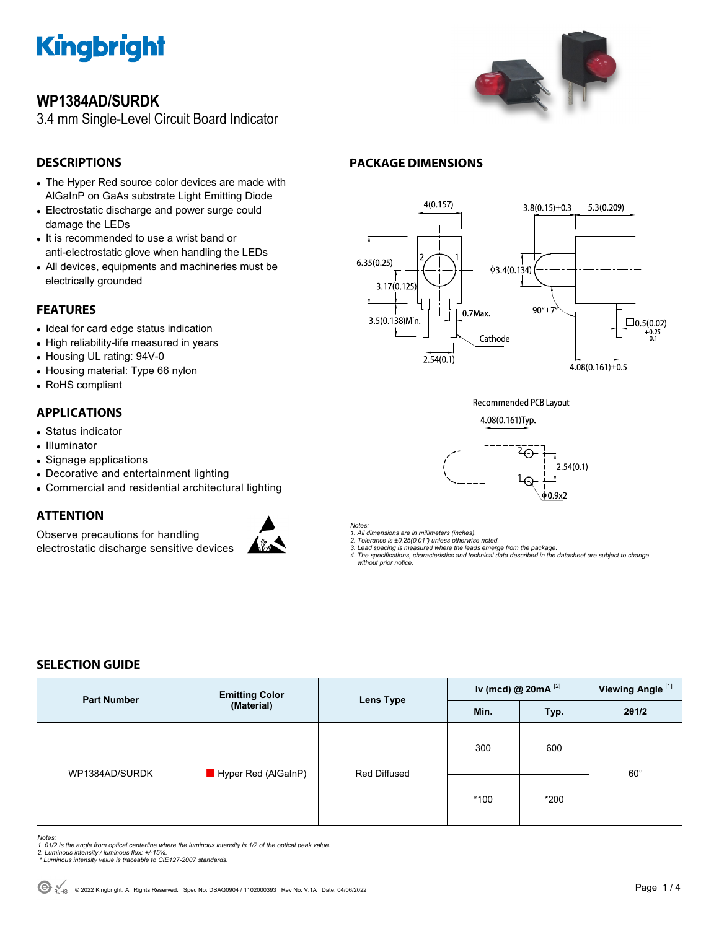

## **WP1384AD/SURDK**

3.4 mm Single-Level Circuit Board Indicator



## **DESCRIPTIONS**

- The Hyper Red source color devices are made with AlGaInP on GaAs substrate Light Emitting Diode
- Electrostatic discharge and power surge could damage the LEDs
- It is recommended to use a wrist band or anti-electrostatic glove when handling the LEDs
- All devices, equipments and machineries must be electrically grounded

#### **FEATURES**

- Ideal for card edge status indication
- High reliability-life measured in years
- Housing UL rating: 94V-0
- Housing material: Type 66 nylon
- RoHS compliant

### **APPLICATIONS**

- Status indicator
- Illuminator
- Signage applications
- Decorative and entertainment lighting
- Commercial and residential architectural lighting

#### **ATTENTION**

Observe precautions for handling electrostatic discharge sensitive devices



#### *Notes:*

*1. All dimensions are in millimeters (inches).* 

*2. Tolerance is ±0.25(0.01") unless otherwise noted. 3. Lead spacing is measured where the leads emerge from the package.* 

- 
- *4. The specifications, characteristics and technical data described in the datasheet are subject to change without prior notice.*

### **SELECTION GUIDE**

| <b>Part Number</b> | <b>Emitting Color</b> | Lens Type                  | Iv (mcd) @ $20mA$ <sup>[2]</sup> |        | Viewing Angle <sup>[1]</sup> |
|--------------------|-----------------------|----------------------------|----------------------------------|--------|------------------------------|
|                    |                       | (Material)<br>Min.<br>Typ. |                                  | 201/2  |                              |
| WP1384AD/SURDK     | Hyper Red (AlGaInP)   | Red Diffused               | 300                              | 600    |                              |
|                    |                       |                            | $*100$                           | $*200$ | $60^{\circ}$                 |

#### *Notes:*

- 1. 01/2 is the angle from optical centerline where the luminous intensity is 1/2 of the optical peak value.<br>2. Luminous intensity / luminous flux: +/-15%.<br>\* Luminous intensity value is traceable to CIE127-2007 standards.
- 
- 

## **PACKAGE DIMENSIONS**



**Recommended PCB Layout** 

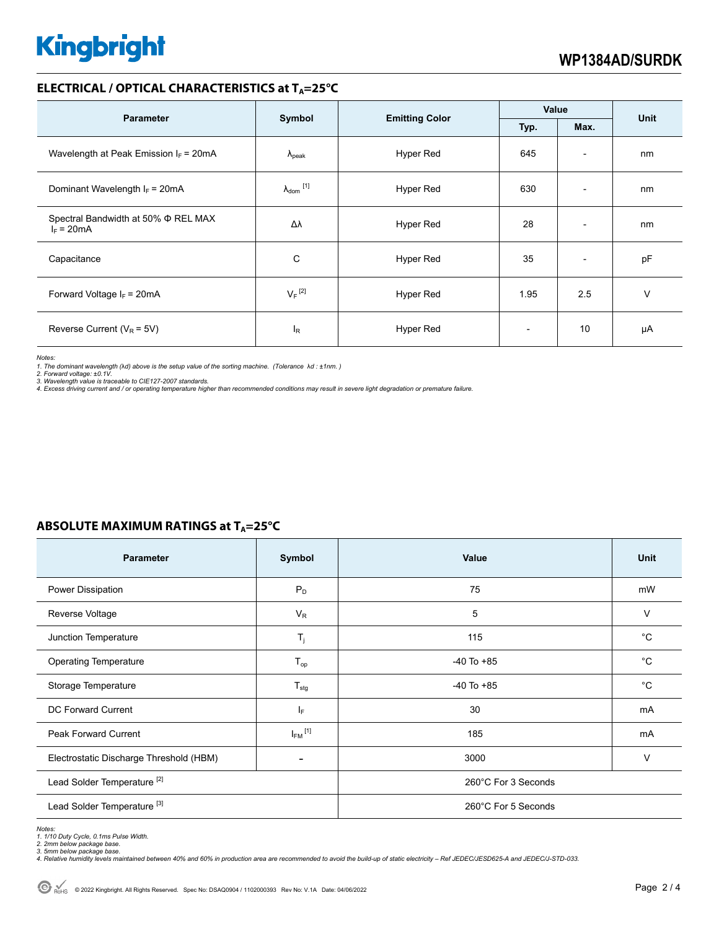# **Kingbright**

#### **ELECTRICAL / OPTICAL CHARACTERISTICS at T<sub>A</sub>=25°C**

|                                                     |                            |                       | Value                    |                          | <b>Unit</b> |
|-----------------------------------------------------|----------------------------|-----------------------|--------------------------|--------------------------|-------------|
| <b>Parameter</b>                                    | Symbol                     | <b>Emitting Color</b> | Typ.                     | Max.                     |             |
| Wavelength at Peak Emission $I_F$ = 20mA            | $\Lambda_{\rm peak}$       | Hyper Red             | 645                      | $\overline{\phantom{a}}$ | nm          |
| Dominant Wavelength $I_F = 20 \text{mA}$            | $\lambda_{\text{dom}}$ [1] | Hyper Red             | 630                      | $\overline{\phantom{a}}$ | nm          |
| Spectral Bandwidth at 50% Φ REL MAX<br>$I_F = 20mA$ | Δλ                         | Hyper Red             | 28                       | $\overline{a}$           | nm          |
| Capacitance                                         | C                          | Hyper Red             | 35                       | $\overline{\phantom{a}}$ | pF          |
| Forward Voltage $I_F$ = 20mA                        | $V_F$ <sup>[2]</sup>       | Hyper Red             | 1.95                     | 2.5                      | $\vee$      |
| Reverse Current ( $V_R$ = 5V)                       | <sup>I</sup> R             | <b>Hyper Red</b>      | $\overline{\phantom{0}}$ | 10                       | μA          |

*Notes:* 

*1. The dominant wavelength (*λ*d) above is the setup value of the sorting machine. (Tolerance* λ*d : ±1nm. )* 

*2. Forward voltage: ±0.1V. 3. Wavelength value is traceable to CIE127-2007 standards.* 

*4. Excess driving current and / or operating temperature higher than recommended conditions may result in severe light degradation or premature failure.* 

#### **ABSOLUTE MAXIMUM RATINGS at T<sub>A</sub>=25°C**

| <b>Parameter</b>                        | Symbol                  | Value               | Unit        |  |
|-----------------------------------------|-------------------------|---------------------|-------------|--|
| Power Dissipation                       | $P_D$                   | 75                  | mW          |  |
| Reverse Voltage                         | $V_{R}$                 | 5                   | V           |  |
| Junction Temperature                    | $T_j$                   | 115                 | $^{\circ}C$ |  |
| <b>Operating Temperature</b>            | $T_{op}$                | $-40$ To $+85$      | $^{\circ}C$ |  |
| Storage Temperature                     | $T_{\text{stg}}$        | $-40$ To $+85$      | $^{\circ}C$ |  |
| DC Forward Current                      | $I_F$                   | 30                  | mA          |  |
| <b>Peak Forward Current</b>             | $I_{FM}$ <sup>[1]</sup> | 185                 | mA          |  |
| Electrostatic Discharge Threshold (HBM) | ۰                       | 3000                | V           |  |
| Lead Solder Temperature <sup>[2]</sup>  |                         | 260°C For 3 Seconds |             |  |
| Lead Solder Temperature <sup>[3]</sup>  |                         | 260°C For 5 Seconds |             |  |

Notes:<br>1. 1/10 Duty Cycle, 0.1ms Pulse Width.<br>2. 2mm below package base.<br>4. Relative humidity levels maintained between 40% and 60% in production area are recommended to avoid the build-up of static electricity – Ref JEDEC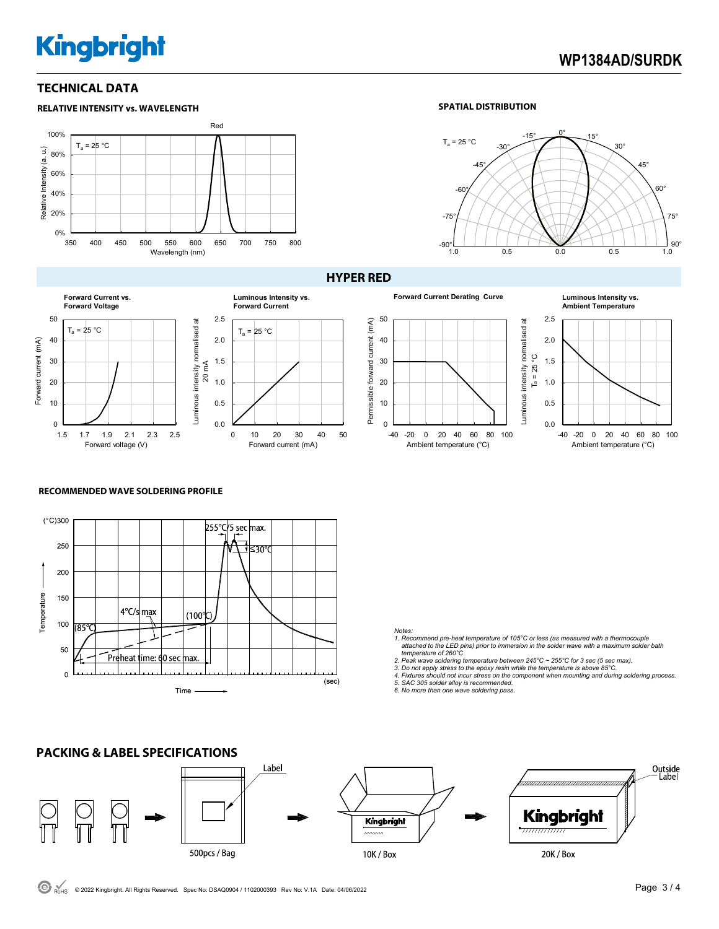# **Kingbright**

## **WP1384AD/SURDK**

#### **TECHNICAL DATA**



#### **SPATIAL DISTRIBUTION**



#### **Forward Current vs. Forward Voltage** 50 Luminous intensity normalised at Luminous intensity normalised at  $T_a = 25 °C$ 40 Forward current (mA) Forward current (mA) 30 20 mA 20 10 0 1.5 1.7 1.9 2.1 2.3 2.5

Forward voltage (V)

#### **HYPER RED**







#### **RECOMMENDED WAVE SOLDERING PROFILE**



0.0 0.5 1.0 1.5 2.0 2.5

 $T_a = 25 °C$ 

**Luminous Intensity vs. Forward Current**

0 10 20 30 40 50

Forward current (mA)

#### *Notes:*

- *1. Recommend pre-heat temperature of 105°C or less (as measured with a thermocouple attached to the LED pins) prior to immersion in the solder wave with a maximum solder bath temperature of 260°C*
- 
- 2. Peak wave soldering temperature between 245°C ~ 255°C for 3 sec (5 sec max).<br>3. Do not apply stress to the epoxy resin while the temperature is above 85°C.<br>4. Fixtures should not incur stress on the component when mount
- 
- *5. SAC 305 solder alloy is recommended. 6. No more than one wave soldering pass.*